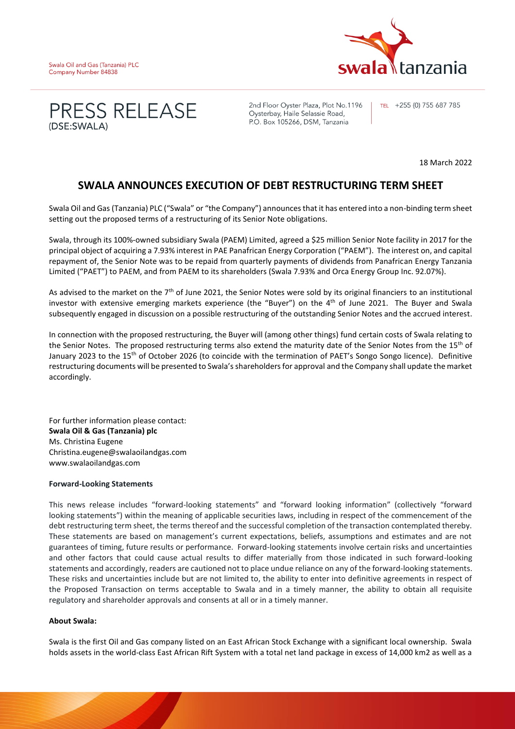





2nd Floor Oyster Plaza, Plot No.1196 Oysterbay, Haile Selassie Road, P.O. Box 105266, DSM, Tanzania

TEL +255 (0) 755 687 785

18 March 2022

## **SWALA ANNOUNCES EXECUTION OF DEBT RESTRUCTURING TERM SHEET**

Swala Oil and Gas (Tanzania) PLC ("Swala" or "the Company") announces that it has entered into a non-binding term sheet setting out the proposed terms of a restructuring of its Senior Note obligations.

Swala, through its 100%-owned subsidiary Swala (PAEM) Limited, agreed a \$25 million Senior Note facility in 2017 for the principal object of acquiring a 7.93% interest in PAE Panafrican Energy Corporation ("PAEM"). The interest on, and capital repayment of, the Senior Note was to be repaid from quarterly payments of dividends from Panafrican Energy Tanzania Limited ("PAET") to PAEM, and from PAEM to its shareholders (Swala 7.93% and Orca Energy Group Inc. 92.07%).

As advised to the market on the 7<sup>th</sup> of June 2021, the Senior Notes were sold by its original financiers to an institutional investor with extensive emerging markets experience (the "Buyer") on the 4th of June 2021. The Buyer and Swala subsequently engaged in discussion on a possible restructuring of the outstanding Senior Notes and the accrued interest.

In connection with the proposed restructuring, the Buyer will (among other things) fund certain costs of Swala relating to the Senior Notes. The proposed restructuring terms also extend the maturity date of the Senior Notes from the 15<sup>th</sup> of January 2023 to the 15<sup>th</sup> of October 2026 (to coincide with the termination of PAET's Songo Songo licence). Definitive restructuring documents will be presented to Swala's shareholders for approval and the Company shall update the market accordingly.

For further information please contact: **Swala Oil & Gas (Tanzania) plc**  Ms. Christina Eugene Christina.eugene@swalaoilandgas.com www.swalaoilandgas.com

## **Forward-Looking Statements**

This news release includes "forward-looking statements" and "forward looking information" (collectively "forward looking statements") within the meaning of applicable securities laws, including in respect of the commencement of the debt restructuring term sheet, the terms thereof and the successful completion of the transaction contemplated thereby. These statements are based on management's current expectations, beliefs, assumptions and estimates and are not guarantees of timing, future results or performance. Forward-looking statements involve certain risks and uncertainties and other factors that could cause actual results to differ materially from those indicated in such forward-looking statements and accordingly, readers are cautioned not to place undue reliance on any of the forward-looking statements. These risks and uncertainties include but are not limited to, the ability to enter into definitive agreements in respect of the Proposed Transaction on terms acceptable to Swala and in a timely manner, the ability to obtain all requisite regulatory and shareholder approvals and consents at all or in a timely manner.

## **About Swala:**

Swala is the first Oil and Gas company listed on an East African Stock Exchange with a significant local ownership. Swala holds assets in the world-class East African Rift System with a total net land package in excess of 14,000 km2 as well as a